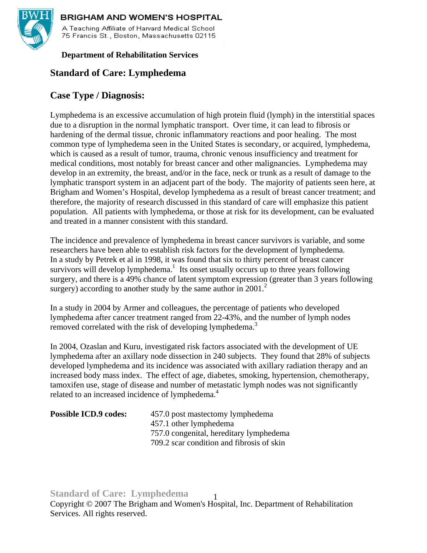

A Teaching Affiliate of Harvard Medical School 75 Francis St., Boston, Massachusetts 02115

### **Department of Rehabilitation Services**

# **Standard of Care: Lymphedema**

# **Case Type / Diagnosis:**

Lymphedema is an excessive accumulation of high protein fluid (lymph) in the interstitial spaces due to a disruption in the normal lymphatic transport. Over time, it can lead to fibrosis or hardening of the dermal tissue, chronic inflammatory reactions and poor healing. The most common type of lymphedema seen in the United States is secondary, or acquired, lymphedema, which is caused as a result of tumor, trauma, chronic venous insufficiency and treatment for medical conditions, most notably for breast cancer and other malignancies. Lymphedema may develop in an extremity, the breast, and/or in the face, neck or trunk as a result of damage to the lymphatic transport system in an adjacent part of the body. The majority of patients seen here, at Brigham and Women's Hospital, develop lymphedema as a result of breast cancer treatment; and therefore, the majority of research discussed in this standard of care will emphasize this patient population. All patients with lymphedema, or those at risk for its development, can be evaluated and treated in a manner consistent with this standard.

The incidence and prevalence of lymphedema in breast cancer survivors is variable, and some researchers have been able to establish risk factors for the development of lymphedema. In a study by Petrek et al in 1998, it was found that six to thirty percent of breast cancer survivors will develop lymphedema.<sup>1</sup> Its onset usually occurs up to three years following surgery, and there is a 49% chance of latent symptom expression (greater than 3 years following surgery) according to another study by the same author in  $2001<sup>2</sup>$ 

In a study in 2004 by Armer and colleagues, the percentage of patients who developed lymphedema after cancer treatment ranged from 22-43%, and the number of lymph nodes removed correlated with the risk of developing lymphedema.<sup>3</sup>

In 2004, Ozaslan and Kuru, investigated risk factors associated with the development of UE lymphedema after an axillary node dissection in 240 subjects. They found that 28% of subjects developed lymphedema and its incidence was associated with axillary radiation therapy and an increased body mass index. The effect of age, diabetes, smoking, hypertension, chemotherapy, tamoxifen use, stage of disease and number of metastatic lymph nodes was not significantly related to an increased incidence of lymphedema.<sup>4</sup>

| <b>Possible ICD.9 codes:</b> | 457.0 post mastectomy lymphedema          |
|------------------------------|-------------------------------------------|
|                              | 457.1 other lymphedema                    |
|                              | 757.0 congenital, hereditary lymphedema   |
|                              | 709.2 scar condition and fibrosis of skin |

#### **Standard of Care: Lymphedema**

Copyright © 2007 The Brigham and Women's Hospital, Inc. Department of Rehabilitation Services. All rights reserved.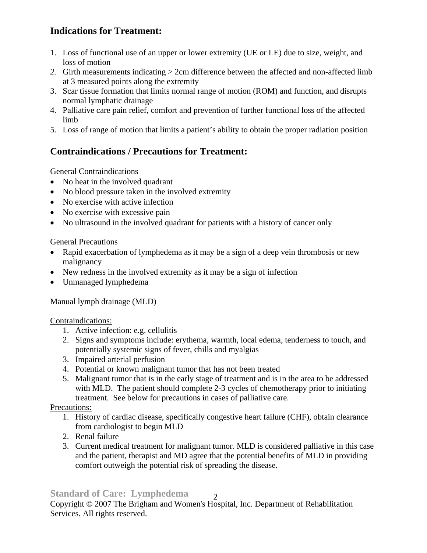# **Indications for Treatment:**

- 1. Loss of functional use of an upper or lower extremity (UE or LE) due to size, weight, and loss of motion
- *2.* Girth measurements indicating > 2cm difference between the affected and non-affected limb at 3 measured points along the extremity
- 3. Scar tissue formation that limits normal range of motion (ROM) and function, and disrupts normal lymphatic drainage
- 4. Palliative care pain relief, comfort and prevention of further functional loss of the affected limb
- 5. Loss of range of motion that limits a patient's ability to obtain the proper radiation position

# **Contraindications / Precautions for Treatment:**

General Contraindications

- No heat in the involved quadrant
- No blood pressure taken in the involved extremity
- No exercise with active infection
- No exercise with excessive pain
- No ultrasound in the involved quadrant for patients with a history of cancer only

General Precautions

- Rapid exacerbation of lymphedema as it may be a sign of a deep vein thrombosis or new malignancy
- New redness in the involved extremity as it may be a sign of infection
- Unmanaged lymphedema

Manual lymph drainage (MLD)

# Contraindications:

- 1. Active infection: e.g. cellulitis
- 2. Signs and symptoms include: erythema, warmth, local edema, tenderness to touch, and potentially systemic signs of fever, chills and myalgias
- 3. Impaired arterial perfusion
- 4. Potential or known malignant tumor that has not been treated
- 5. Malignant tumor that is in the early stage of treatment and is in the area to be addressed with MLD. The patient should complete 2-3 cycles of chemotherapy prior to initiating treatment. See below for precautions in cases of palliative care.

# Precautions:

- 1. History of cardiac disease, specifically congestive heart failure (CHF), obtain clearance from cardiologist to begin MLD
- 2. Renal failure
- 3. Current medical treatment for malignant tumor. MLD is considered palliative in this case and the patient, therapist and MD agree that the potential benefits of MLD in providing comfort outweigh the potential risk of spreading the disease.

# **Standard of Care: Lymphedema**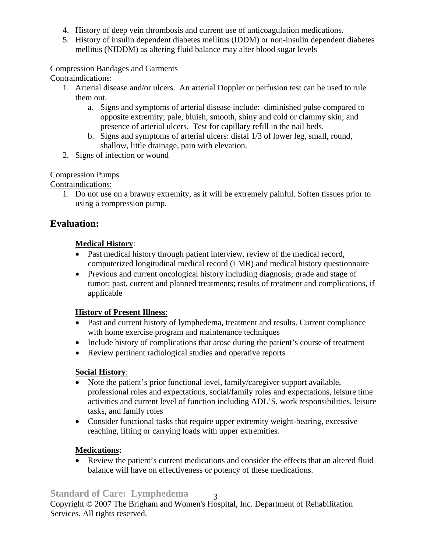- 4. History of deep vein thrombosis and current use of anticoagulation medications.
- 5. History of insulin dependent diabetes mellitus (IDDM) or non-insulin dependent diabetes mellitus (NIDDM) as altering fluid balance may alter blood sugar levels

# Compression Bandages and Garments

Contraindications:

- 1. Arterial disease and/or ulcers. An arterial Doppler or perfusion test can be used to rule them out.
	- a. Signs and symptoms of arterial disease include: diminished pulse compared to opposite extremity; pale, bluish, smooth, shiny and cold or clammy skin; and presence of arterial ulcers. Test for capillary refill in the nail beds.
	- b. Signs and symptoms of arterial ulcers: distal 1/3 of lower leg, small, round, shallow, little drainage, pain with elevation.
- 2. Signs of infection or wound

# Compression Pumps

Contraindications:

1. Do not use on a brawny extremity, as it will be extremely painful. Soften tissues prior to using a compression pump.

# **Evaluation:**

# **Medical History**:

- Past medical history through patient interview, review of the medical record, computerized longitudinal medical record (LMR) and medical history questionnaire
- Previous and current oncological history including diagnosis; grade and stage of tumor; past, current and planned treatments; results of treatment and complications, if applicable

# **History of Present Illness**:

- Past and current history of lymphedema, treatment and results. Current compliance with home exercise program and maintenance techniques
- Include history of complications that arose during the patient's course of treatment
- Review pertinent radiological studies and operative reports

# **Social History**:

- Note the patient's prior functional level, family/caregiver support available, professional roles and expectations, social/family roles and expectations, leisure time activities and current level of function including ADL'S, work responsibilities, leisure tasks, and family roles
- Consider functional tasks that require upper extremity weight-bearing, excessive reaching, lifting or carrying loads with upper extremities.

# **Medications:**

• Review the patient's current medications and consider the effects that an altered fluid balance will have on effectiveness or potency of these medications.

# **Standard of Care: Lymphedema**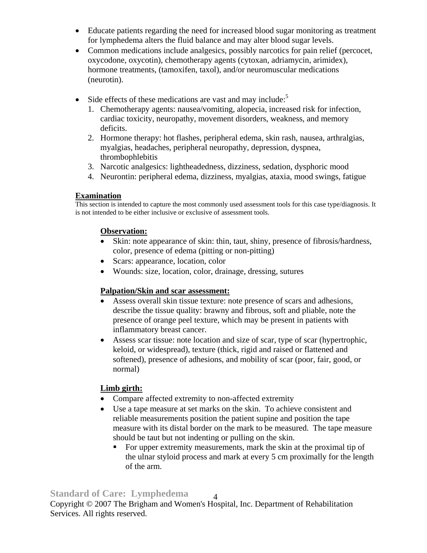- Educate patients regarding the need for increased blood sugar monitoring as treatment for lymphedema alters the fluid balance and may alter blood sugar levels.
- Common medications include analgesics, possibly narcotics for pain relief (percocet, oxycodone, oxycotin), chemotherapy agents (cytoxan, adriamycin, arimidex), hormone treatments, (tamoxifen, taxol), and/or neuromuscular medications (neurotin).
- Side effects of these medications are vast and may include: $5$ 
	- 1. Chemotherapy agents: nausea/vomiting, alopecia, increased risk for infection, cardiac toxicity, neuropathy, movement disorders, weakness, and memory deficits.
	- 2. Hormone therapy: hot flashes, peripheral edema, skin rash, nausea, arthralgias, myalgias, headaches, peripheral neuropathy, depression, dyspnea, thrombophlebitis
	- 3. Narcotic analgesics: lightheadedness, dizziness, sedation, dysphoric mood
	- 4. Neurontin: peripheral edema, dizziness, myalgias, ataxia, mood swings, fatigue

#### **Examination**

This section is intended to capture the most commonly used assessment tools for this case type/diagnosis. It is not intended to be either inclusive or exclusive of assessment tools.

#### **Observation:**

- Skin: note appearance of skin: thin, taut, shiny, presence of fibrosis/hardness, color, presence of edema (pitting or non-pitting)
- Scars: appearance, location, color
- Wounds: size, location, color, drainage, dressing, sutures

#### **Palpation/Skin and scar assessment:**

- Assess overall skin tissue texture: note presence of scars and adhesions, describe the tissue quality: brawny and fibrous, soft and pliable, note the presence of orange peel texture, which may be present in patients with inflammatory breast cancer.
- Assess scar tissue: note location and size of scar, type of scar (hypertrophic, keloid, or widespread), texture (thick, rigid and raised or flattened and softened), presence of adhesions, and mobility of scar (poor, fair, good, or normal)

#### **Limb girth:**

- Compare affected extremity to non-affected extremity
- Use a tape measure at set marks on the skin. To achieve consistent and reliable measurements position the patient supine and position the tape measure with its distal border on the mark to be measured. The tape measure should be taut but not indenting or pulling on the skin.
	- For upper extremity measurements, mark the skin at the proximal tip of the ulnar styloid process and mark at every 5 cm proximally for the length of the arm.

#### **Standard of Care: Lymphedema**

Copyright © 2007 The Brigham and Women's Hospital, Inc. Department of Rehabilitation Services. All rights reserved.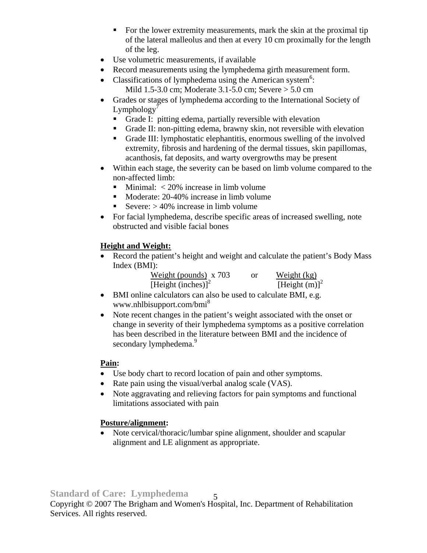- For the lower extremity measurements, mark the skin at the proximal tip of the lateral malleolus and then at every 10 cm proximally for the length of the leg.
- Use volumetric measurements, if available
- Record measurements using the lymphedema girth measurement form.
- Classifications of lymphedema using the American system $6$ :
	- Mild 1.5-3.0 cm; Moderate 3.1-5.0 cm; Severe > 5.0 cm
- Grades or stages of lymphedema according to the International Society of  $Lymphology<sup>7</sup>$ 
	- Grade I: pitting edema, partially reversible with elevation
	- Grade II: non-pitting edema, brawny skin, not reversible with elevation
	- Grade III: lymphostatic elephantitis, enormous swelling of the involved extremity, fibrosis and hardening of the dermal tissues, skin papillomas, acanthosis, fat deposits, and warty overgrowths may be present
- Within each stage, the severity can be based on limb volume compared to the non-affected limb:
	- $\blacksquare$  Minimal: < 20% increase in limb volume
	- Moderate: 20-40% increase in limb volume
	- Severe:  $> 40\%$  increase in limb volume
- For facial lymphedema, describe specific areas of increased swelling, note obstructed and visible facial bones

#### **Height and Weight:**

• Record the patient's height and weight and calculate the patient's Body Mass Index (BMI):

| Weight (pounds) $\times$ 703   | Weight (kg)                  |
|--------------------------------|------------------------------|
| [Height (inches)] <sup>2</sup> | [Height $(m)$ ] <sup>2</sup> |

- BMI online calculators can also be used to calculate BMI, e.g. www.nhlbisupport.com/bmi<sup>8</sup>
- Note recent changes in the patient's weight associated with the onset or change in severity of their lymphedema symptoms as a positive correlation has been described in the literature between BMI and the incidence of secondary lymphedema.<sup>9</sup>

# **Pain:**

- Use body chart to record location of pain and other symptoms.
- Rate pain using the visual/verbal analog scale (VAS).
- Note aggravating and relieving factors for pain symptoms and functional limitations associated with pain

#### **Posture/alignment:**

• Note cervical/thoracic/lumbar spine alignment, shoulder and scapular alignment and LE alignment as appropriate.

# **Standard of Care: Lymphedema**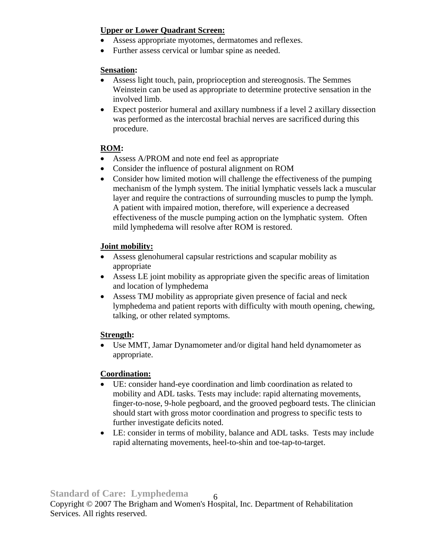### **Upper or Lower Quadrant Screen:**

- Assess appropriate myotomes, dermatomes and reflexes.
- Further assess cervical or lumbar spine as needed.

### **Sensation:**

- Assess light touch, pain, proprioception and stereognosis. The Semmes Weinstein can be used as appropriate to determine protective sensation in the involved limb.
- Expect posterior humeral and axillary numbness if a level 2 axillary dissection was performed as the intercostal brachial nerves are sacrificed during this procedure.

# **ROM:**

- Assess A/PROM and note end feel as appropriate
- Consider the influence of postural alignment on ROM
- Consider how limited motion will challenge the effectiveness of the pumping mechanism of the lymph system. The initial lymphatic vessels lack a muscular layer and require the contractions of surrounding muscles to pump the lymph. A patient with impaired motion, therefore, will experience a decreased effectiveness of the muscle pumping action on the lymphatic system. Often mild lymphedema will resolve after ROM is restored.

# **Joint mobility:**

- Assess glenohumeral capsular restrictions and scapular mobility as appropriate
- Assess LE joint mobility as appropriate given the specific areas of limitation and location of lymphedema
- Assess TMJ mobility as appropriate given presence of facial and neck lymphedema and patient reports with difficulty with mouth opening, chewing, talking, or other related symptoms.

#### **Strength:**

Use MMT, Jamar Dynamometer and/or digital hand held dynamometer as appropriate.

# **Coordination:**

- UE: consider hand-eye coordination and limb coordination as related to mobility and ADL tasks. Tests may include: rapid alternating movements, finger-to-nose, 9-hole pegboard, and the grooved pegboard tests. The clinician should start with gross motor coordination and progress to specific tests to further investigate deficits noted.
- LE: consider in terms of mobility, balance and ADL tasks. Tests may include rapid alternating movements, heel-to-shin and toe-tap-to-target.

# **Standard of Care: Lymphedema**

Copyright © 2007 The Brigham and Women's Hospital, Inc. Department of Rehabilitation Services. All rights reserved.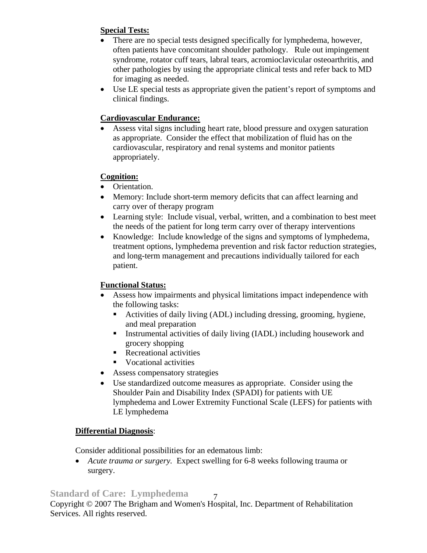# **Special Tests:**

- There are no special tests designed specifically for lymphedema, however, often patients have concomitant shoulder pathology. Rule out impingement syndrome, rotator cuff tears, labral tears, acromioclavicular osteoarthritis, and other pathologies by using the appropriate clinical tests and refer back to MD for imaging as needed.
- Use LE special tests as appropriate given the patient's report of symptoms and clinical findings.

### **Cardiovascular Endurance:**

• Assess vital signs including heart rate, blood pressure and oxygen saturation as appropriate. Consider the effect that mobilization of fluid has on the cardiovascular, respiratory and renal systems and monitor patients appropriately.

### **Cognition:**

- Orientation.
- Memory: Include short-term memory deficits that can affect learning and carry over of therapy program
- Learning style: Include visual, verbal, written, and a combination to best meet the needs of the patient for long term carry over of therapy interventions
- Knowledge: Include knowledge of the signs and symptoms of lymphedema, treatment options, lymphedema prevention and risk factor reduction strategies, and long-term management and precautions individually tailored for each patient.

# **Functional Status:**

- Assess how impairments and physical limitations impact independence with the following tasks:
	- Activities of daily living (ADL) including dressing, grooming, hygiene, and meal preparation
	- **Instrumental activities of daily living (IADL) including housework and** grocery shopping
	- **Recreational activities**
	- Vocational activities
- Assess compensatory strategies
- Use standardized outcome measures as appropriate. Consider using the Shoulder Pain and Disability Index (SPADI) for patients with UE lymphedema and Lower Extremity Functional Scale (LEFS) for patients with LE lymphedema

#### **Differential Diagnosis**:

Consider additional possibilities for an edematous limb:

• *Acute trauma or surgery.* Expect swelling for 6-8 weeks following trauma or surgery.

7

# **Standard of Care: Lymphedema**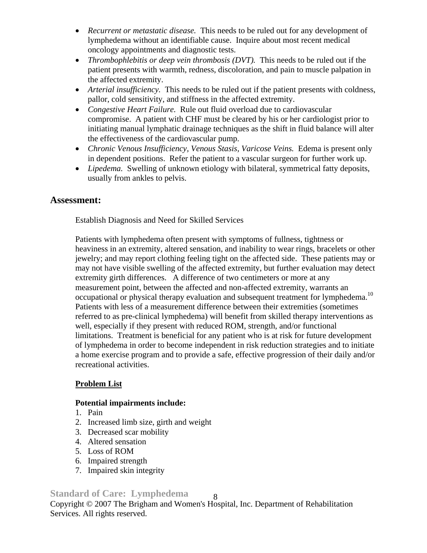- *Recurrent or metastatic disease.* This needs to be ruled out for any development of lymphedema without an identifiable cause. Inquire about most recent medical oncology appointments and diagnostic tests.
- *Thrombophlebitis or deep vein thrombosis (DVT).* This needs to be ruled out if the patient presents with warmth, redness, discoloration, and pain to muscle palpation in the affected extremity.
- *Arterial insufficiency*. This needs to be ruled out if the patient presents with coldness, pallor, cold sensitivity, and stiffness in the affected extremity.
- *Congestive Heart Failure.* Rule out fluid overload due to cardiovascular compromise. A patient with CHF must be cleared by his or her cardiologist prior to initiating manual lymphatic drainage techniques as the shift in fluid balance will alter the effectiveness of the cardiovascular pump.
- *Chronic Venous Insufficiency, Venous Stasis, Varicose Veins.* Edema is present only in dependent positions. Refer the patient to a vascular surgeon for further work up.
- *Lipedema.* Swelling of unknown etiology with bilateral, symmetrical fatty deposits, usually from ankles to pelvis.

# **Assessment:**

Establish Diagnosis and Need for Skilled Services

Patients with lymphedema often present with symptoms of fullness, tightness or heaviness in an extremity, altered sensation, and inability to wear rings, bracelets or other jewelry; and may report clothing feeling tight on the affected side. These patients may or may not have visible swelling of the affected extremity, but further evaluation may detect extremity girth differences. A difference of two centimeters or more at any measurement point, between the affected and non-affected extremity, warrants an occupational or physical therapy evaluation and subsequent treatment for lymphedema.<sup>10</sup> Patients with less of a measurement difference between their extremities (sometimes referred to as pre-clinical lymphedema) will benefit from skilled therapy interventions as well, especially if they present with reduced ROM, strength, and/or functional limitations. Treatment is beneficial for any patient who is at risk for future development of lymphedema in order to become independent in risk reduction strategies and to initiate a home exercise program and to provide a safe, effective progression of their daily and/or recreational activities.

#### **Problem List**

#### **Potential impairments include:**

- 1. Pain
- 2. Increased limb size, girth and weight
- 3. Decreased scar mobility
- 4. Altered sensation
- 5. Loss of ROM
- 6. Impaired strength
- 7. Impaired skin integrity

# **Standard of Care: Lymphedema**

Copyright © 2007 The Brigham and Women's Hospital, Inc. Department of Rehabilitation Services. All rights reserved.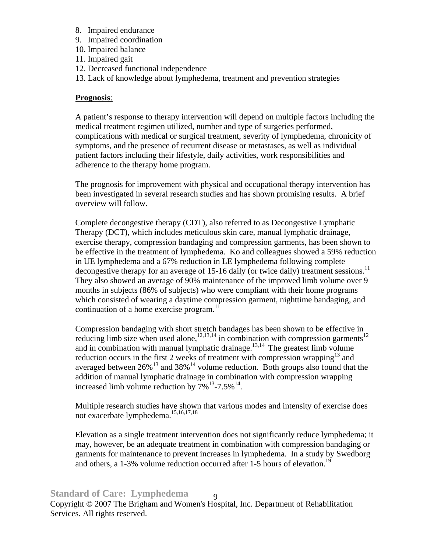- 8. Impaired endurance
- 9. Impaired coordination
- 10. Impaired balance
- 11. Impaired gait
- 12. Decreased functional independence
- 13. Lack of knowledge about lymphedema, treatment and prevention strategies

#### **Prognosis**:

A patient's response to therapy intervention will depend on multiple factors including the medical treatment regimen utilized, number and type of surgeries performed, complications with medical or surgical treatment, severity of lymphedema, chronicity of symptoms, and the presence of recurrent disease or metastases, as well as individual patient factors including their lifestyle, daily activities, work responsibilities and adherence to the therapy home program.

The prognosis for improvement with physical and occupational therapy intervention has been investigated in several research studies and has shown promising results. A brief overview will follow.

Complete decongestive therapy (CDT), also referred to as Decongestive Lymphatic Therapy (DCT), which includes meticulous skin care, manual lymphatic drainage, exercise therapy, compression bandaging and compression garments, has been shown to be effective in the treatment of lymphedema. Ko and colleagues showed a 59% reduction in UE lymphedema and a 67% reduction in LE lymphedema following complete decongestive therapy for an average of 15-16 daily (or twice daily) treatment sessions.<sup>11</sup> They also showed an average of 90% maintenance of the improved limb volume over 9 months in subjects (86% of subjects) who were compliant with their home programs which consisted of wearing a daytime compression garment, nighttime bandaging, and continuation of a home exercise program. $^{11}$ 

Compression bandaging with short stretch bandages has been shown to be effective in reducing limb size when used alone,  $12,13,14$  in combination with compression garments<sup>12</sup> and in combination with manual lymphatic drainage.<sup>13,14</sup> The greatest limb volume reduction occurs in the first 2 weeks of treatment with compression wrapping<sup>13</sup> and averaged between 26%13 and 38%14 volume reduction.Both groups also found that the addition of manual lymphatic drainage in combination with compression wrapping increased limb volume reduction by  $7\%^{13}$ -7.5%<sup>14</sup>.

Multiple research studies have shown that various modes and intensity of exercise does not exacerbate lymphedema.15,16,17,18

Elevation as a single treatment intervention does not significantly reduce lymphedema; it may, however, be an adequate treatment in combination with compression bandaging or garments for maintenance to prevent increases in lymphedema. In a study by Swedborg and others, a 1-3% volume reduction occurred after 1-5 hours of elevation.<sup>19</sup>

#### **Standard of Care: Lymphedema**

Copyright © 2007 The Brigham and Women's Hospital, Inc. Department of Rehabilitation Services. All rights reserved.

 $\mathbf Q$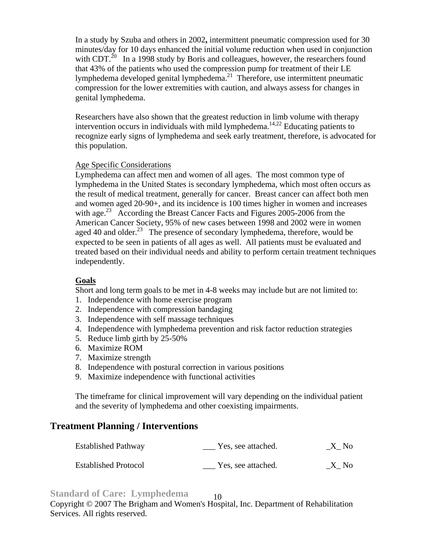In a study by Szuba and others in 2002**,** intermittent pneumatic compression used for 30 minutes/day for 10 days enhanced the initial volume reduction when used in conjunction with CDT. $^{20}$  In a 1998 study by Boris and colleagues, however, the researchers found that 43% of the patients who used the compression pump for treatment of their LE lymphedema developed genital lymphedema.<sup>21</sup> Therefore, use intermittent pneumatic compression for the lower extremities with caution, and always assess for changes in genital lymphedema.

Researchers have also shown that the greatest reduction in limb volume with therapy intervention occurs in individuals with mild lymphedema.<sup>14,22</sup> Educating patients to recognize early signs of lymphedema and seek early treatment, therefore, is advocated for this population.

#### Age Specific Considerations

Lymphedema can affect men and women of all ages. The most common type of lymphedema in the United States is secondary lymphedema, which most often occurs as the result of medical treatment, generally for cancer. Breast cancer can affect both men and women aged 20-90+, and its incidence is 100 times higher in women and increases with age.<sup>23</sup> According the Breast Cancer Facts and Figures 2005-2006 from the American Cancer Society, 95% of new cases between 1998 and 2002 were in women aged 40 and older.<sup>23</sup> The presence of secondary lymphedema, therefore, would be expected to be seen in patients of all ages as well. All patients must be evaluated and treated based on their individual needs and ability to perform certain treatment techniques independently.

#### **Goals**

Short and long term goals to be met in 4-8 weeks may include but are not limited to:

- 1. Independence with home exercise program
- 2. Independence with compression bandaging
- 3. Independence with self massage techniques
- 4. Independence with lymphedema prevention and risk factor reduction strategies
- 5. Reduce limb girth by 25-50%
- 6. Maximize ROM
- 7. Maximize strength
- 8. Independence with postural correction in various positions
- 9. Maximize independence with functional activities

The timeframe for clinical improvement will vary depending on the individual patient and the severity of lymphedema and other coexisting impairments.

# **Treatment Planning / Interventions**

| <b>Established Pathway</b>  | Yes, see attached. | X No   |
|-----------------------------|--------------------|--------|
| <b>Established Protocol</b> | Yes, see attached. | _X_ No |

#### **Standard of Care: Lymphedema**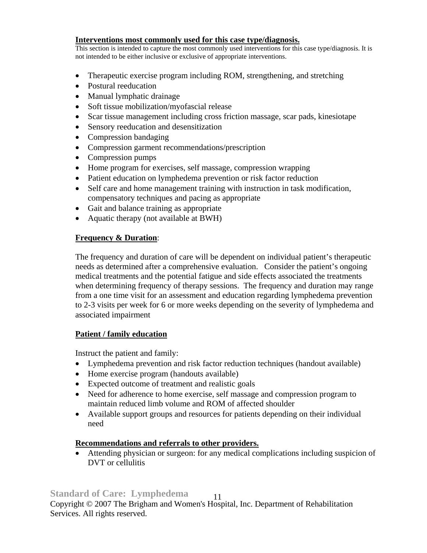#### **Interventions most commonly used for this case type/diagnosis.**

This section is intended to capture the most commonly used interventions for this case type/diagnosis. It is not intended to be either inclusive or exclusive of appropriate interventions.

- Therapeutic exercise program including ROM, strengthening, and stretching
- Postural reeducation
- Manual lymphatic drainage
- Soft tissue mobilization/myofascial release
- Scar tissue management including cross friction massage, scar pads, kinesiotape
- Sensory reeducation and desensitization
- Compression bandaging
- Compression garment recommendations/prescription
- Compression pumps
- Home program for exercises, self massage, compression wrapping
- Patient education on lymphedema prevention or risk factor reduction
- Self care and home management training with instruction in task modification, compensatory techniques and pacing as appropriate
- Gait and balance training as appropriate
- Aquatic therapy (not available at BWH)

#### **Frequency & Duration**:

The frequency and duration of care will be dependent on individual patient's therapeutic needs as determined after a comprehensive evaluation. Consider the patient's ongoing medical treatments and the potential fatigue and side effects associated the treatments when determining frequency of therapy sessions. The frequency and duration may range from a one time visit for an assessment and education regarding lymphedema prevention to 2-3 visits per week for 6 or more weeks depending on the severity of lymphedema and associated impairment

#### **Patient / family education**

Instruct the patient and family:

- Lymphedema prevention and risk factor reduction techniques (handout available)
- Home exercise program (handouts available)
- Expected outcome of treatment and realistic goals
- Need for adherence to home exercise, self massage and compression program to maintain reduced limb volume and ROM of affected shoulder
- Available support groups and resources for patients depending on their individual need

#### **Recommendations and referrals to other providers.**

• Attending physician or surgeon: for any medical complications including suspicion of DVT or cellulitis

#### **Standard of Care: Lymphedema**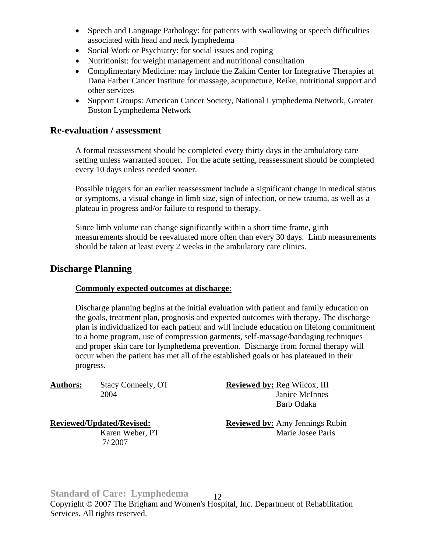- Speech and Language Pathology: for patients with swallowing or speech difficulties associated with head and neck lymphedema
- Social Work or Psychiatry: for social issues and coping
- Nutritionist: for weight management and nutritional consultation
- Complimentary Medicine: may include the Zakim Center for Integrative Therapies at Dana Farber Cancer Institute for massage, acupuncture, Reike, nutritional support and other services
- Support Groups: American Cancer Society, National Lymphedema Network, Greater Boston Lymphedema Network

### **Re-evaluation / assessment**

A formal reassessment should be completed every thirty days in the ambulatory care setting unless warranted sooner. For the acute setting, reassessment should be completed every 10 days unless needed sooner.

Possible triggers for an earlier reassessment include a significant change in medical status or symptoms, a visual change in limb size, sign of infection, or new trauma, as well as a plateau in progress and/or failure to respond to therapy.

Since limb volume can change significantly within a short time frame, girth measurements should be reevaluated more often than every 30 days. Limb measurements should be taken at least every 2 weeks in the ambulatory care clinics.

### **Discharge Planning**

#### **Commonly expected outcomes at discharge**:

Discharge planning begins at the initial evaluation with patient and family education on the goals, treatment plan, prognosis and expected outcomes with therapy. The discharge plan is individualized for each patient and will include education on lifelong commitment to a home program, use of compression garments, self-massage/bandaging techniques and proper skin care for lymphedema prevention. Discharge from formal therapy will occur when the patient has met all of the established goals or has plateaued in their progress.

**Authors:** Stacy Conneely, OT **Reviewed by:** Reg Wilcox, III

2004 Janice McInnes Barb Odaka

7/ 2007

**Reviewed/Updated/Revised: Reviewed by:** Amy Jennings Rubin Karen Weber, PT Marie Josee Paris

**Standard of Care: Lymphedema**  12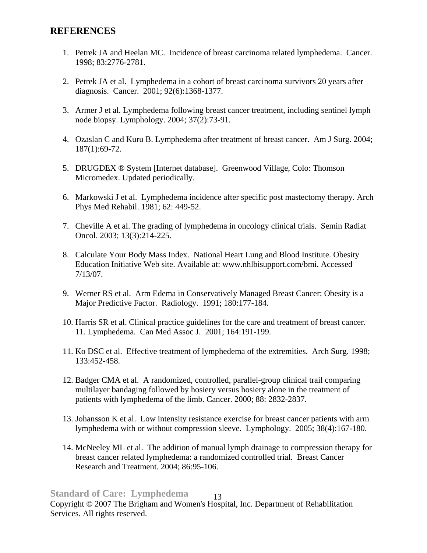# **REFERENCES**

- 1. Petrek JA and Heelan MC. Incidence of breast carcinoma related lymphedema. Cancer. 1998; 83:2776-2781.
- 2. Petrek JA et al. Lymphedema in a cohort of breast carcinoma survivors 20 years after diagnosis. Cancer. 2001; 92(6):1368-1377.
- 3. Armer J et al. Lymphedema following breast cancer treatment, including sentinel lymph node biopsy. Lymphology. 2004; 37(2):73-91.
- 4. Ozaslan C and Kuru B. Lymphedema after treatment of breast cancer. Am J Surg. 2004; 187(1):69-72.
- 5. DRUGDEX ® System [Internet database]. Greenwood Village, Colo: Thomson Micromedex. Updated periodically.
- 6. Markowski J et al. Lymphedema incidence after specific post mastectomy therapy. Arch Phys Med Rehabil. 1981; 62: 449-52.
- 7. Cheville A et al. The grading of lymphedema in oncology clinical trials. Semin Radiat Oncol. 2003; 13(3):214-225.
- 8. Calculate Your Body Mass Index. National Heart Lung and Blood Institute. Obesity Education Initiative Web site. Available at: www.nhlbisupport.com/bmi. Accessed 7/13/07.
- 9. Werner RS et al. Arm Edema in Conservatively Managed Breast Cancer: Obesity is a Major Predictive Factor. Radiology. 1991; 180:177-184.
- 10. Harris SR et al. Clinical practice guidelines for the care and treatment of breast cancer. 11. Lymphedema. Can Med Assoc J. 2001; 164:191-199.
- 11. Ko DSC et al. Effective treatment of lymphedema of the extremities. Arch Surg. 1998; 133:452-458.
- 12. Badger CMA et al. A randomized, controlled, parallel-group clinical trail comparing multilayer bandaging followed by hosiery versus hosiery alone in the treatment of patients with lymphedema of the limb. Cancer. 2000; 88: 2832-2837.
- 13. Johansson K et al. Low intensity resistance exercise for breast cancer patients with arm lymphedema with or without compression sleeve. Lymphology. 2005; 38(4):167-180.
- 14. McNeeley ML et al. The addition of manual lymph drainage to compression therapy for breast cancer related lymphedema: a randomized controlled trial. Breast Cancer Research and Treatment. 2004; 86:95-106.

13

### **Standard of Care: Lymphedema**